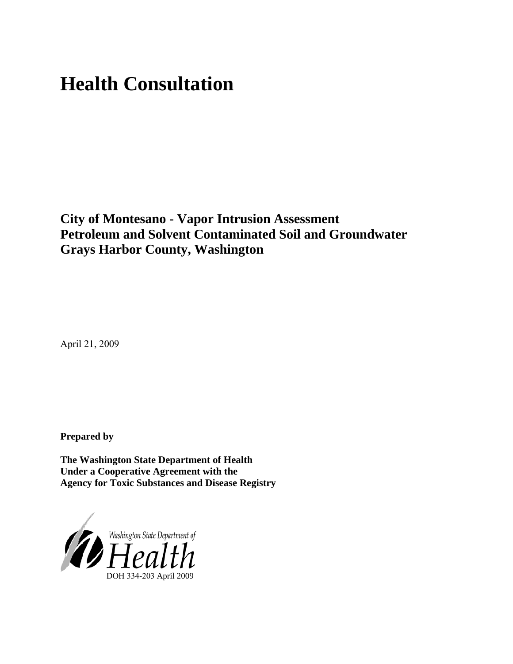# **Health Consultation**

**City of Montesano - Vapor Intrusion Assessment Petroleum and Solvent Contaminated Soil and Groundwater Grays Harbor County, Washington**

April 21, 2009

**Prepared by** 

**The Washington State Department of Health Under a Cooperative Agreement with the Agency for Toxic Substances and Disease Registry**

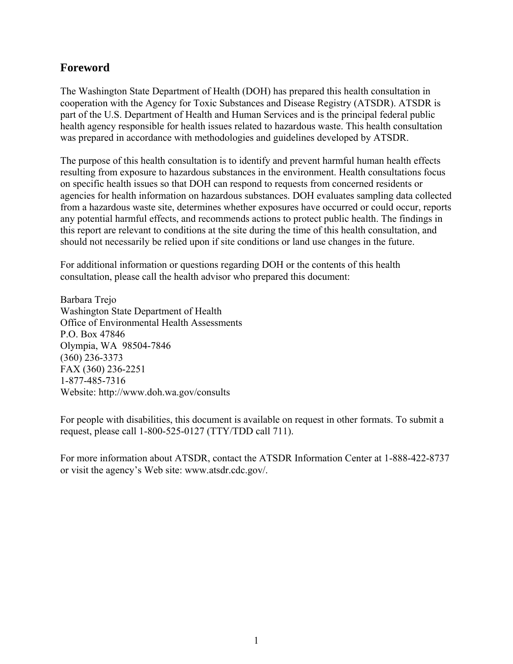# **Foreword**

The Washington State Department of Health (DOH) has prepared this health consultation in cooperation with the Agency for Toxic Substances and Disease Registry (ATSDR). ATSDR is part of the U.S. Department of Health and Human Services and is the principal federal public health agency responsible for health issues related to hazardous waste. This health consultation was prepared in accordance with methodologies and guidelines developed by ATSDR.

The purpose of this health consultation is to identify and prevent harmful human health effects resulting from exposure to hazardous substances in the environment. Health consultations focus on specific health issues so that DOH can respond to requests from concerned residents or agencies for health information on hazardous substances. DOH evaluates sampling data collected from a hazardous waste site, determines whether exposures have occurred or could occur, reports any potential harmful effects, and recommends actions to protect public health. The findings in this report are relevant to conditions at the site during the time of this health consultation, and should not necessarily be relied upon if site conditions or land use changes in the future.

For additional information or questions regarding DOH or the contents of this health consultation, please call the health advisor who prepared this document:

Barbara Trejo Washington State Department of Health Office of Environmental Health Assessments P.O. Box 47846 Olympia, WA 98504-7846 (360) 236-3373 FAX (360) 236-2251 1-877-485-7316 Website: [http://www.doh.wa.gov/consu](http://www.doh.wa.gov/consults)lts

For people with disabilities, this document is available on request in other formats. To submit a request, please call 1-800-525-0127 (TTY/TDD call 711).

For more information about ATSDR, contact the ATSDR Information Center at 1-888-422-8737 or visit the agency's Web site: www.atsdr.cdc.gov/.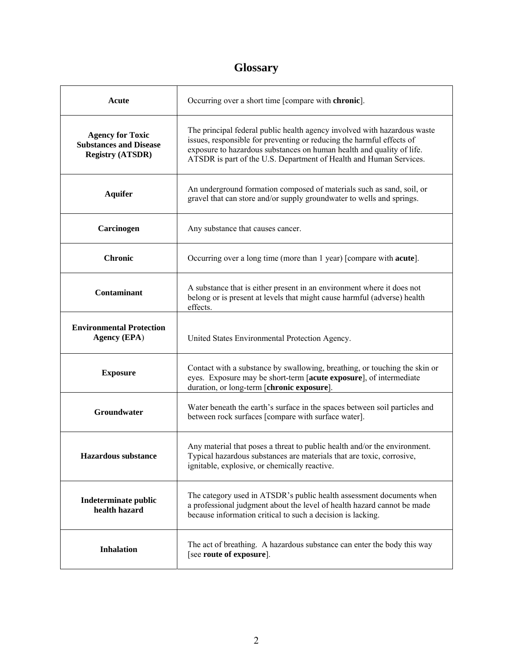# **Glossary**

| Acute                                                                               | Occurring over a short time [compare with chronic].                                                                                                                                                                                                                                              |
|-------------------------------------------------------------------------------------|--------------------------------------------------------------------------------------------------------------------------------------------------------------------------------------------------------------------------------------------------------------------------------------------------|
| <b>Agency for Toxic</b><br><b>Substances and Disease</b><br><b>Registry (ATSDR)</b> | The principal federal public health agency involved with hazardous waste<br>issues, responsible for preventing or reducing the harmful effects of<br>exposure to hazardous substances on human health and quality of life.<br>ATSDR is part of the U.S. Department of Health and Human Services. |
| <b>Aquifer</b>                                                                      | An underground formation composed of materials such as sand, soil, or<br>gravel that can store and/or supply groundwater to wells and springs.                                                                                                                                                   |
| Carcinogen                                                                          | Any substance that causes cancer.                                                                                                                                                                                                                                                                |
| <b>Chronic</b>                                                                      | Occurring over a long time (more than 1 year) [compare with <b>acute</b> ].                                                                                                                                                                                                                      |
| Contaminant                                                                         | A substance that is either present in an environment where it does not<br>belong or is present at levels that might cause harmful (adverse) health<br>effects.                                                                                                                                   |
| <b>Environmental Protection</b><br><b>Agency (EPA)</b>                              | United States Environmental Protection Agency.                                                                                                                                                                                                                                                   |
| <b>Exposure</b>                                                                     | Contact with a substance by swallowing, breathing, or touching the skin or<br>eyes. Exposure may be short-term [acute exposure], of intermediate<br>duration, or long-term [chronic exposure].                                                                                                   |
| <b>Groundwater</b>                                                                  | Water beneath the earth's surface in the spaces between soil particles and<br>between rock surfaces [compare with surface water].                                                                                                                                                                |
| <b>Hazardous substance</b>                                                          | Any material that poses a threat to public health and/or the environment.<br>Typical hazardous substances are materials that are toxic, corrosive,<br>ignitable, explosive, or chemically reactive.                                                                                              |
| Indeterminate public<br>health hazard                                               | The category used in ATSDR's public health assessment documents when<br>a professional judgment about the level of health hazard cannot be made<br>because information critical to such a decision is lacking.                                                                                   |
| <b>Inhalation</b>                                                                   | The act of breathing. A hazardous substance can enter the body this way<br>[see route of exposure].                                                                                                                                                                                              |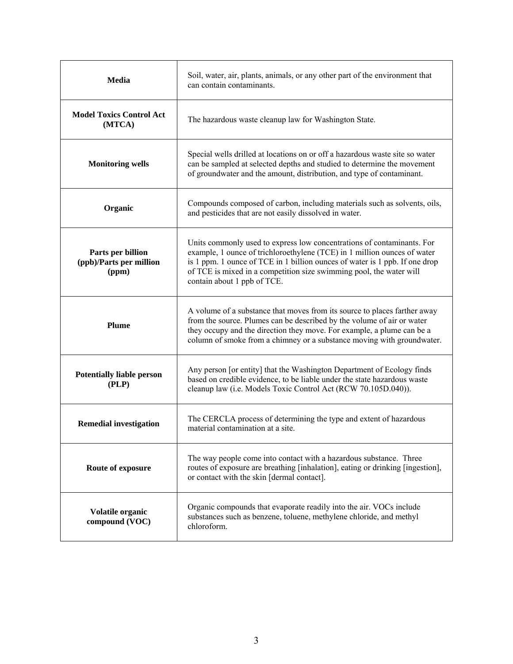| Media                                                 | Soil, water, air, plants, animals, or any other part of the environment that<br>can contain contaminants.                                                                                                                                                                                                                               |
|-------------------------------------------------------|-----------------------------------------------------------------------------------------------------------------------------------------------------------------------------------------------------------------------------------------------------------------------------------------------------------------------------------------|
| <b>Model Toxics Control Act</b><br>(MTCA)             | The hazardous waste cleanup law for Washington State.                                                                                                                                                                                                                                                                                   |
| <b>Monitoring wells</b>                               | Special wells drilled at locations on or off a hazardous waste site so water<br>can be sampled at selected depths and studied to determine the movement<br>of groundwater and the amount, distribution, and type of contaminant.                                                                                                        |
| Organic                                               | Compounds composed of carbon, including materials such as solvents, oils,<br>and pesticides that are not easily dissolved in water.                                                                                                                                                                                                     |
| Parts per billion<br>(ppb)/Parts per million<br>(ppm) | Units commonly used to express low concentrations of contaminants. For<br>example, 1 ounce of trichloroethylene (TCE) in 1 million ounces of water<br>is 1 ppm. 1 ounce of TCE in 1 billion ounces of water is 1 ppb. If one drop<br>of TCE is mixed in a competition size swimming pool, the water will<br>contain about 1 ppb of TCE. |
| Plume                                                 | A volume of a substance that moves from its source to places farther away<br>from the source. Plumes can be described by the volume of air or water<br>they occupy and the direction they move. For example, a plume can be a<br>column of smoke from a chimney or a substance moving with groundwater.                                 |
| <b>Potentially liable person</b><br>(PLP)             | Any person [or entity] that the Washington Department of Ecology finds<br>based on credible evidence, to be liable under the state hazardous waste<br>cleanup law (i.e. Models Toxic Control Act (RCW 70.105D.040)).                                                                                                                    |
| <b>Remedial investigation</b>                         | The CERCLA process of determining the type and extent of hazardous<br>material contamination at a site.                                                                                                                                                                                                                                 |
| Route of exposure                                     | The way people come into contact with a hazardous substance. Three<br>routes of exposure are breathing [inhalation], eating or drinking [ingestion],<br>or contact with the skin [dermal contact].                                                                                                                                      |
| Volatile organic<br>compound (VOC)                    | Organic compounds that evaporate readily into the air. VOCs include<br>substances such as benzene, toluene, methylene chloride, and methyl<br>chloroform.                                                                                                                                                                               |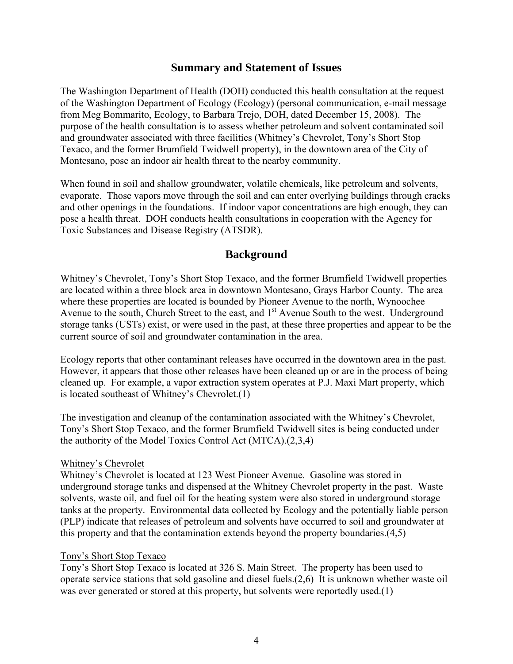### **Summary and Statement of Issues**

The Washington Department of Health (DOH) conducted this health consultation at the request of the Washington Department of Ecology (Ecology) (personal communication, e-mail message from Meg Bommarito, Ecology, to Barbara Trejo, DOH, dated December 15, 2008). The purpose of the health consultation is to assess whether petroleum and solvent contaminated soil and groundwater associated with three facilities (Whitney's Chevrolet, Tony's Short Stop Texaco, and the former Brumfield Twidwell property), in the downtown area of the City of Montesano, pose an indoor air health threat to the nearby community.

When found in soil and shallow groundwater, volatile chemicals, like petroleum and solvents, evaporate. Those vapors move through the soil and can enter overlying buildings through cracks and other openings in the foundations. If indoor vapor concentrations are high enough, they can pose a health threat. DOH conducts health consultations in cooperation with the Agency for Toxic Substances and Disease Registry (ATSDR).

## **Background**

Whitney's Chevrolet, Tony's Short Stop Texaco, and the former Brumfield Twidwell properties are located within a three block area in downtown Montesano, Grays Harbor County. The area where these properties are located is bounded by Pioneer Avenue to the north, Wynoochee Avenue to the south, Church Street to the east, and 1<sup>st</sup> Avenue South to the west. Underground storage tanks (USTs) exist, or were used in the past, at these three properties and appear to be the current source of soil and groundwater contamination in the area.

Ecology reports that other contaminant releases have occurred in the downtown area in the past. However, it appears that those other releases have been cleaned up or are in the process of being cleaned up. For example, a vapor extraction system operates at P.J. Maxi Mart property, which is located southeast of Whitney's Chevrolet.(1)

The investigation and cleanup of the contamination associated with the Whitney's Chevrolet, Tony's Short Stop Texaco, and the former Brumfield Twidwell sites is being conducted under the authority of the Model Toxics Control Act (MTCA).(2,3,4)

#### Whitney's Chevrolet

Whitney's Chevrolet is located at 123 West Pioneer Avenue. Gasoline was stored in underground storage tanks and dispensed at the Whitney Chevrolet property in the past. Waste solvents, waste oil, and fuel oil for the heating system were also stored in underground storage tanks at the property. Environmental data collected by Ecology and the potentially liable person (PLP) indicate that releases of petroleum and solvents have occurred to soil and groundwater at this property and that the contamination extends beyond the property boundaries.(4,5)

#### Tony's Short Stop Texaco

Tony's Short Stop Texaco is located at 326 S. Main Street. The property has been used to operate service stations that sold gasoline and diesel fuels.(2,6) It is unknown whether waste oil was ever generated or stored at this property, but solvents were reportedly used.(1)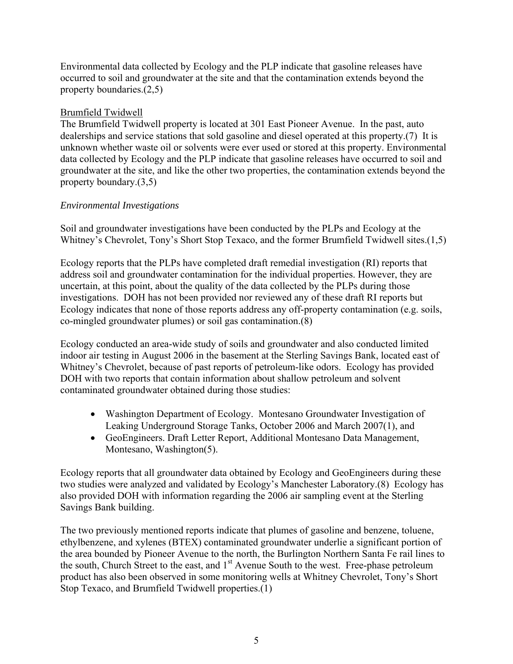Environmental data collected by Ecology and the PLP indicate that gasoline releases have occurred to soil and groundwater at the site and that the contamination extends beyond the property boundaries.(2,5)

#### Brumfield Twidwell

The Brumfield Twidwell property is located at 301 East Pioneer Avenue. In the past, auto dealerships and service stations that sold gasoline and diesel operated at this property.(7) It is unknown whether waste oil or solvents were ever used or stored at this property. Environmental data collected by Ecology and the PLP indicate that gasoline releases have occurred to soil and groundwater at the site, and like the other two properties, the contamination extends beyond the property boundary.(3,5)

#### *Environmental Investigations*

Soil and groundwater investigations have been conducted by the PLPs and Ecology at the Whitney's Chevrolet, Tony's Short Stop Texaco, and the former Brumfield Twidwell sites.(1,5)

Ecology reports that the PLPs have completed draft remedial investigation (RI) reports that address soil and groundwater contamination for the individual properties. However, they are uncertain, at this point, about the quality of the data collected by the PLPs during those investigations. DOH has not been provided nor reviewed any of these draft RI reports but Ecology indicates that none of those reports address any off-property contamination (e.g. soils, co-mingled groundwater plumes) or soil gas contamination.(8)

Ecology conducted an area-wide study of soils and groundwater and also conducted limited indoor air testing in August 2006 in the basement at the Sterling Savings Bank, located east of Whitney's Chevrolet, because of past reports of petroleum-like odors. Ecology has provided DOH with two reports that contain information about shallow petroleum and solvent contaminated groundwater obtained during those studies:

- Washington Department of Ecology. Montesano Groundwater Investigation of Leaking Underground Storage Tanks, October 2006 and March 2007(1), and
- GeoEngineers. Draft Letter Report, Additional Montesano Data Management, Montesano, Washington(5).

Ecology reports that all groundwater data obtained by Ecology and GeoEngineers during these two studies were analyzed and validated by Ecology's Manchester Laboratory.(8) Ecology has also provided DOH with information regarding the 2006 air sampling event at the Sterling Savings Bank building.

The two previously mentioned reports indicate that plumes of gasoline and benzene, toluene, ethylbenzene, and xylenes (BTEX) contaminated groundwater underlie a significant portion of the area bounded by Pioneer Avenue to the north, the Burlington Northern Santa Fe rail lines to the south, Church Street to the east, and 1<sup>st</sup> Avenue South to the west. Free-phase petroleum product has also been observed in some monitoring wells at Whitney Chevrolet, Tony's Short Stop Texaco, and Brumfield Twidwell properties.(1)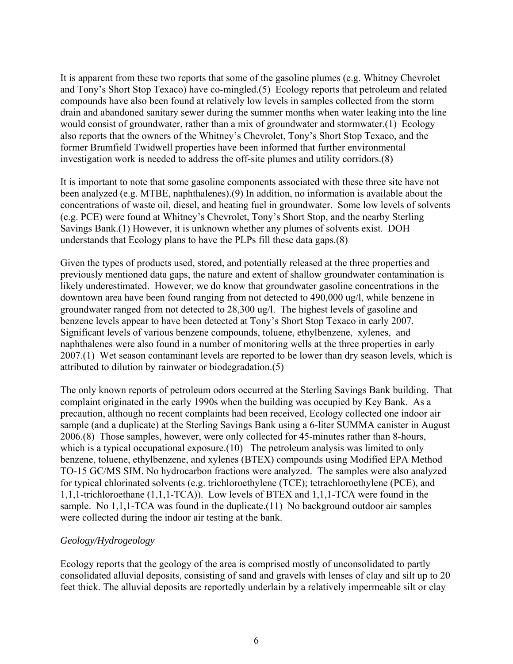It is apparent from these two reports that some of the gasoline plumes (e.g. Whitney Chevrolet and Tony's Short Stop Texaco) have co-mingled.(5) Ecology reports that petroleum and related compounds have also been found at relatively low levels in samples collected from the storm drain and abandoned sanitary sewer during the summer months when water leaking into the line would consist of groundwater, rather than a mix of groundwater and stormwater.(1) Ecology also reports that the owners of the Whitney's Chevrolet, Tony's Short Stop Texaco, and the former Brumfield Twidwell properties have been informed that further environmental investigation work is needed to address the off-site plumes and utility corridors.(8)

It is important to note that some gasoline components associated with these three site have not been analyzed (e.g. MTBE, naphthalenes).(9) In addition, no information is available about the concentrations of waste oil, diesel, and heating fuel in groundwater. Some low levels of solvents (e.g. PCE) were found at Whitney's Chevrolet, Tony's Short Stop, and the nearby Sterling Savings Bank.(1) However, it is unknown whether any plumes of solvents exist. DOH understands that Ecology plans to have the PLPs fill these data gaps.(8)

Given the types of products used, stored, and potentially released at the three properties and previously mentioned data gaps, the nature and extent of shallow groundwater contamination is likely underestimated. However, we do know that groundwater gasoline concentrations in the downtown area have been found ranging from not detected to 490,000 ug/l, while benzene in groundwater ranged from not detected to 28,300 ug/l. The highest levels of gasoline and benzene levels appear to have been detected at Tony's Short Stop Texaco in early 2007. Significant levels of various benzene compounds, toluene, ethylbenzene, xylenes, and naphthalenes were also found in a number of monitoring wells at the three properties in early 2007.(1) Wet season contaminant levels are reported to be lower than dry season levels, which is attributed to dilution by rainwater or biodegradation.(5)

The only known reports of petroleum odors occurred at the Sterling Savings Bank building. That complaint originated in the early 1990s when the building was occupied by Key Bank. As a precaution, although no recent complaints had been received, Ecology collected one indoor air sample (and a duplicate) at the Sterling Savings Bank using a 6-liter SUMMA canister in August 2006.(8) Those samples, however, were only collected for 45-minutes rather than 8-hours, which is a typical occupational exposure.(10) The petroleum analysis was limited to only benzene, toluene, ethylbenzene, and xylenes (BTEX) compounds using Modified EPA Method TO-15 GC/MS SIM. No hydrocarbon fractions were analyzed. The samples were also analyzed for typical chlorinated solvents (e.g. trichloroethylene (TCE); tetrachloroethylene (PCE), and 1,1,1-trichloroethane (1,1,1-TCA)). Low levels of BTEX and 1,1,1-TCA were found in the sample. No 1,1,1-TCA was found in the duplicate. (11) No background outdoor air samples were collected during the indoor air testing at the bank.

#### *Geology/Hydrogeology*

Ecology reports that the geology of the area is comprised mostly of unconsolidated to partly consolidated alluvial deposits, consisting of sand and gravels with lenses of clay and silt up to 20 feet thick. The alluvial deposits are reportedly underlain by a relatively impermeable silt or clay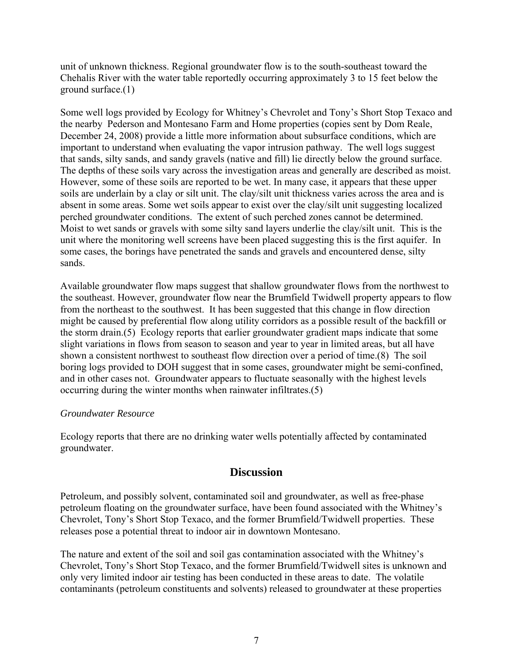unit of unknown thickness. Regional groundwater flow is to the south-southeast toward the Chehalis River with the water table reportedly occurring approximately 3 to 15 feet below the ground surface.(1)

Some well logs provided by Ecology for Whitney's Chevrolet and Tony's Short Stop Texaco and the nearby Pederson and Montesano Farm and Home properties (copies sent by Dom Reale, December 24, 2008) provide a little more information about subsurface conditions, which are important to understand when evaluating the vapor intrusion pathway. The well logs suggest that sands, silty sands, and sandy gravels (native and fill) lie directly below the ground surface. The depths of these soils vary across the investigation areas and generally are described as moist. However, some of these soils are reported to be wet. In many case, it appears that these upper soils are underlain by a clay or silt unit. The clay/silt unit thickness varies across the area and is absent in some areas. Some wet soils appear to exist over the clay/silt unit suggesting localized perched groundwater conditions. The extent of such perched zones cannot be determined. Moist to wet sands or gravels with some silty sand layers underlie the clay/silt unit. This is the unit where the monitoring well screens have been placed suggesting this is the first aquifer. In some cases, the borings have penetrated the sands and gravels and encountered dense, silty sands.

Available groundwater flow maps suggest that shallow groundwater flows from the northwest to the southeast. However, groundwater flow near the Brumfield Twidwell property appears to flow from the northeast to the southwest. It has been suggested that this change in flow direction might be caused by preferential flow along utility corridors as a possible result of the backfill or the storm drain.(5) Ecology reports that earlier groundwater gradient maps indicate that some slight variations in flows from season to season and year to year in limited areas, but all have shown a consistent northwest to southeast flow direction over a period of time.(8) The soil boring logs provided to DOH suggest that in some cases, groundwater might be semi-confined, and in other cases not. Groundwater appears to fluctuate seasonally with the highest levels occurring during the winter months when rainwater infiltrates.(5)

#### *Groundwater Resource*

Ecology reports that there are no drinking water wells potentially affected by contaminated groundwater.

## **Discussion**

Petroleum, and possibly solvent, contaminated soil and groundwater, as well as free-phase petroleum floating on the groundwater surface, have been found associated with the Whitney's Chevrolet, Tony's Short Stop Texaco, and the former Brumfield/Twidwell properties. These releases pose a potential threat to indoor air in downtown Montesano.

The nature and extent of the soil and soil gas contamination associated with the Whitney's Chevrolet, Tony's Short Stop Texaco, and the former Brumfield/Twidwell sites is unknown and only very limited indoor air testing has been conducted in these areas to date. The volatile contaminants (petroleum constituents and solvents) released to groundwater at these properties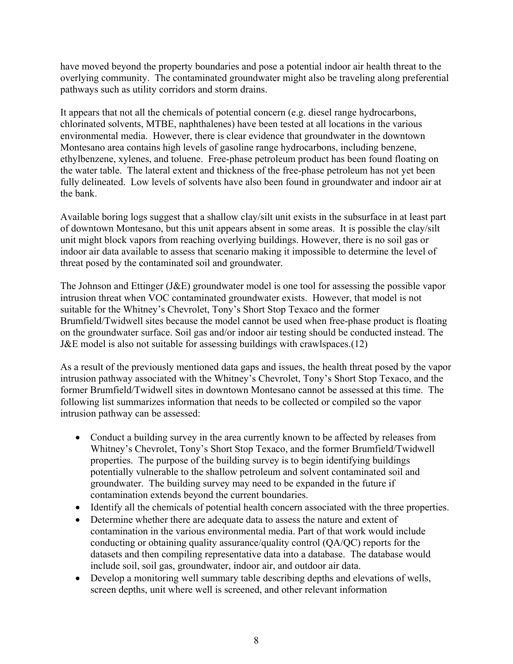have moved beyond the property boundaries and pose a potential indoor air health threat to the overlying community. The contaminated groundwater might also be traveling along preferential pathways such as utility corridors and storm drains.

It appears that not all the chemicals of potential concern (e.g. diesel range hydrocarbons, chlorinated solvents, MTBE, naphthalenes) have been tested at all locations in the various environmental media. However, there is clear evidence that groundwater in the downtown Montesano area contains high levels of gasoline range hydrocarbons, including benzene, ethylbenzene, xylenes, and toluene. Free-phase petroleum product has been found floating on the water table. The lateral extent and thickness of the free-phase petroleum has not yet been fully delineated. Low levels of solvents have also been found in groundwater and indoor air at the bank.

Available boring logs suggest that a shallow clay/silt unit exists in the subsurface in at least part of downtown Montesano, but this unit appears absent in some areas. It is possible the clay/silt unit might block vapors from reaching overlying buildings. However, there is no soil gas or indoor air data available to assess that scenario making it impossible to determine the level of threat posed by the contaminated soil and groundwater.

The Johnson and Ettinger (J&E) groundwater model is one tool for assessing the possible vapor intrusion threat when VOC contaminated groundwater exists. However, that model is not suitable for the Whitney's Chevrolet, Tony's Short Stop Texaco and the former Brumfield/Twidwell sites because the model cannot be used when free-phase product is floating on the groundwater surface. Soil gas and/or indoor air testing should be conducted instead. The J&E model is also not suitable for assessing buildings with crawlspaces.(12)

As a result of the previously mentioned data gaps and issues, the health threat posed by the vapor intrusion pathway associated with the Whitney's Chevrolet, Tony's Short Stop Texaco, and the former Brumfield/Twidwell sites in downtown Montesano cannot be assessed at this time. The following list summarizes information that needs to be collected or compiled so the vapor intrusion pathway can be assessed:

- Conduct a building survey in the area currently known to be affected by releases from Whitney's Chevrolet, Tony's Short Stop Texaco, and the former Brumfield/Twidwell properties. The purpose of the building survey is to begin identifying buildings potentially vulnerable to the shallow petroleum and solvent contaminated soil and groundwater. The building survey may need to be expanded in the future if contamination extends beyond the current boundaries.
- Identify all the chemicals of potential health concern associated with the three properties.
- Determine whether there are adequate data to assess the nature and extent of contamination in the various environmental media. Part of that work would include conducting or obtaining quality assurance/quality control (QA/QC) reports for the datasets and then compiling representative data into a database. The database would include soil, soil gas, groundwater, indoor air, and outdoor air data.
- Develop a monitoring well summary table describing depths and elevations of wells, screen depths, unit where well is screened, and other relevant information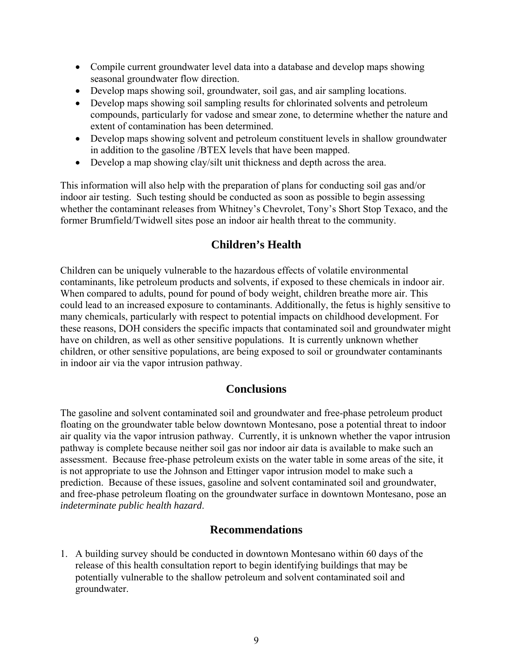- Compile current groundwater level data into a database and develop maps showing seasonal groundwater flow direction.
- Develop maps showing soil, groundwater, soil gas, and air sampling locations.
- Develop maps showing soil sampling results for chlorinated solvents and petroleum compounds, particularly for vadose and smear zone, to determine whether the nature and extent of contamination has been determined.
- Develop maps showing solvent and petroleum constituent levels in shallow groundwater in addition to the gasoline /BTEX levels that have been mapped.
- Develop a map showing clay/silt unit thickness and depth across the area.

This information will also help with the preparation of plans for conducting soil gas and/or indoor air testing. Such testing should be conducted as soon as possible to begin assessing whether the contaminant releases from Whitney's Chevrolet, Tony's Short Stop Texaco, and the former Brumfield/Twidwell sites pose an indoor air health threat to the community.

# **Children's Health**

Children can be uniquely vulnerable to the hazardous effects of volatile environmental contaminants, like petroleum products and solvents, if exposed to these chemicals in indoor air. When compared to adults, pound for pound of body weight, children breathe more air. This could lead to an increased exposure to contaminants. Additionally, the fetus is highly sensitive to many chemicals, particularly with respect to potential impacts on childhood development. For these reasons, DOH considers the specific impacts that contaminated soil and groundwater might have on children, as well as other sensitive populations. It is currently unknown whether children, or other sensitive populations, are being exposed to soil or groundwater contaminants in indoor air via the vapor intrusion pathway.

# **Conclusions**

The gasoline and solvent contaminated soil and groundwater and free-phase petroleum product floating on the groundwater table below downtown Montesano, pose a potential threat to indoor air quality via the vapor intrusion pathway. Currently, it is unknown whether the vapor intrusion pathway is complete because neither soil gas nor indoor air data is available to make such an assessment. Because free-phase petroleum exists on the water table in some areas of the site, it is not appropriate to use the Johnson and Ettinger vapor intrusion model to make such a prediction. Because of these issues, gasoline and solvent contaminated soil and groundwater, and free-phase petroleum floating on the groundwater surface in downtown Montesano, pose an *indeterminate public health hazard*.

# **Recommendations**

1. A building survey should be conducted in downtown Montesano within 60 days of the release of this health consultation report to begin identifying buildings that may be potentially vulnerable to the shallow petroleum and solvent contaminated soil and groundwater.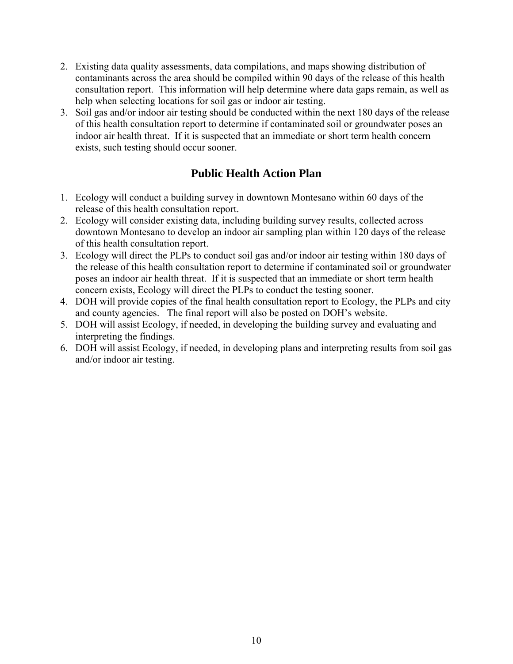- 2. Existing data quality assessments, data compilations, and maps showing distribution of contaminants across the area should be compiled within 90 days of the release of this health consultation report. This information will help determine where data gaps remain, as well as help when selecting locations for soil gas or indoor air testing.
- 3. Soil gas and/or indoor air testing should be conducted within the next 180 days of the release of this health consultation report to determine if contaminated soil or groundwater poses an indoor air health threat. If it is suspected that an immediate or short term health concern exists, such testing should occur sooner.

# **Public Health Action Plan**

- 1. Ecology will conduct a building survey in downtown Montesano within 60 days of the release of this health consultation report.
- 2. Ecology will consider existing data, including building survey results, collected across downtown Montesano to develop an indoor air sampling plan within 120 days of the release of this health consultation report.
- 3. Ecology will direct the PLPs to conduct soil gas and/or indoor air testing within 180 days of the release of this health consultation report to determine if contaminated soil or groundwater poses an indoor air health threat. If it is suspected that an immediate or short term health concern exists, Ecology will direct the PLPs to conduct the testing sooner.
- 4. DOH will provide copies of the final health consultation report to Ecology, the PLPs and city and county agencies. The final report will also be posted on DOH's website.
- 5. DOH will assist Ecology, if needed, in developing the building survey and evaluating and interpreting the findings.
- 6. DOH will assist Ecology, if needed, in developing plans and interpreting results from soil gas and/or indoor air testing.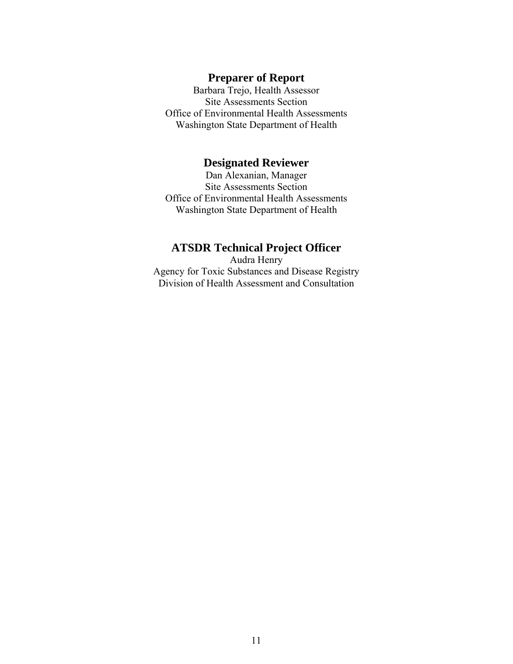#### **Preparer of Report**

Barbara Trejo, Health Assessor Site Assessments Section Office of Environmental Health Assessments Washington State Department of Health

## **Designated Reviewer**

Dan Alexanian, Manager Site Assessments Section Office of Environmental Health Assessments Washington State Department of Health

# **ATSDR Technical Project Officer**

Audra Henry Agency for Toxic Substances and Disease Registry Division of Health Assessment and Consultation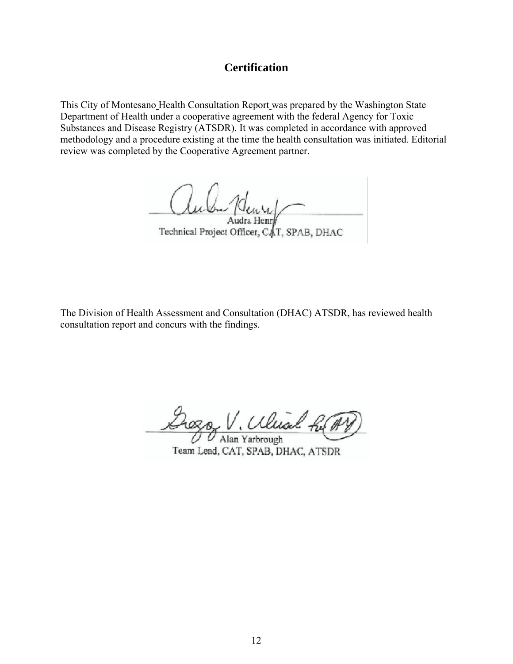# **Certification**

This City of Montesano Health Consultation Report was prepared by the Washington State Department of Health under a cooperative agreement with the federal Agency for Toxic Substances and Disease Registry (ATSDR). It was completed in accordance with approved methodology and a procedure existing at the time the health consultation was initiated. Editorial review was completed by the Cooperative Agreement partner.

 $\mu$ Audra Henr

Technical Project Officer, CAT, SPAB, DHAC

The Division of Health Assessment and Consultation (DHAC) ATSDR, has reviewed health consultation report and concurs with the findings.

\_\_\_\_\_\_\_\_\_\_\_\_\_\_\_\_\_\_\_\_\_\_\_\_\_\_\_\_\_\_\_\_\_\_\_\_\_\_\_\_\_\_\_\_\_ Alan Yarbrough

Team Lead, CAT, SPAB, DHAC, ATSDR